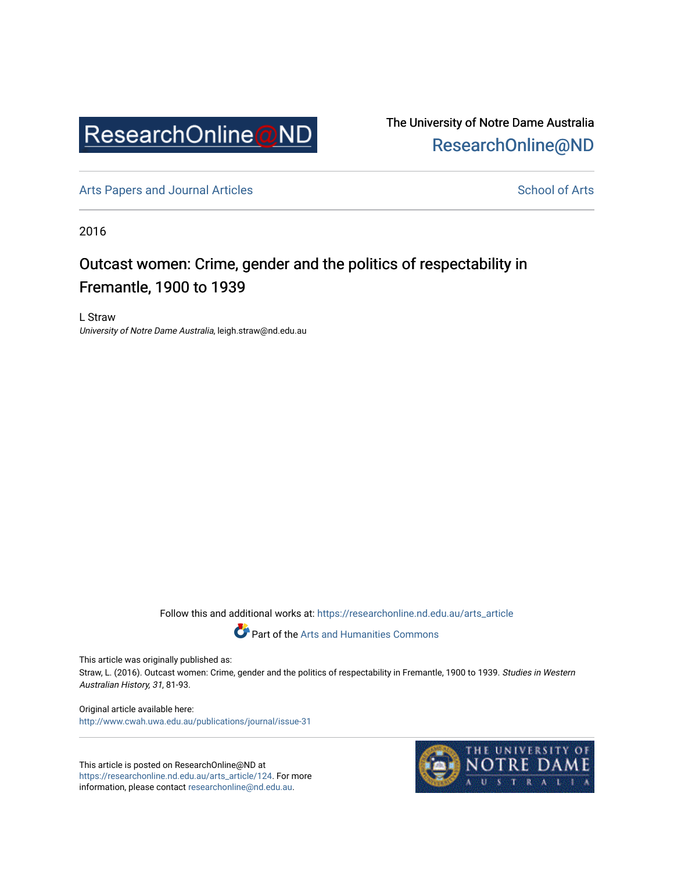

The University of Notre Dame Australia [ResearchOnline@ND](https://researchonline.nd.edu.au/) 

[Arts Papers and Journal Articles](https://researchonline.nd.edu.au/arts_article) and [School of Arts](https://researchonline.nd.edu.au/arts) School of Arts

2016

# Outcast women: Crime, gender and the politics of respectability in Fremantle, 1900 to 1939

L Straw University of Notre Dame Australia, leigh.straw@nd.edu.au

Follow this and additional works at: [https://researchonline.nd.edu.au/arts\\_article](https://researchonline.nd.edu.au/arts_article?utm_source=researchonline.nd.edu.au%2Farts_article%2F124&utm_medium=PDF&utm_campaign=PDFCoverPages) 

Part of the [Arts and Humanities Commons](http://network.bepress.com/hgg/discipline/438?utm_source=researchonline.nd.edu.au%2Farts_article%2F124&utm_medium=PDF&utm_campaign=PDFCoverPages) 

This article was originally published as:

Straw, L. (2016). Outcast women: Crime, gender and the politics of respectability in Fremantle, 1900 to 1939. Studies in Western Australian History, 31, 81-93.

Original article available here: <http://www.cwah.uwa.edu.au/publications/journal/issue-31>

This article is posted on ResearchOnline@ND at [https://researchonline.nd.edu.au/arts\\_article/124](https://researchonline.nd.edu.au/arts_article/124). For more information, please contact [researchonline@nd.edu.au.](mailto:researchonline@nd.edu.au)

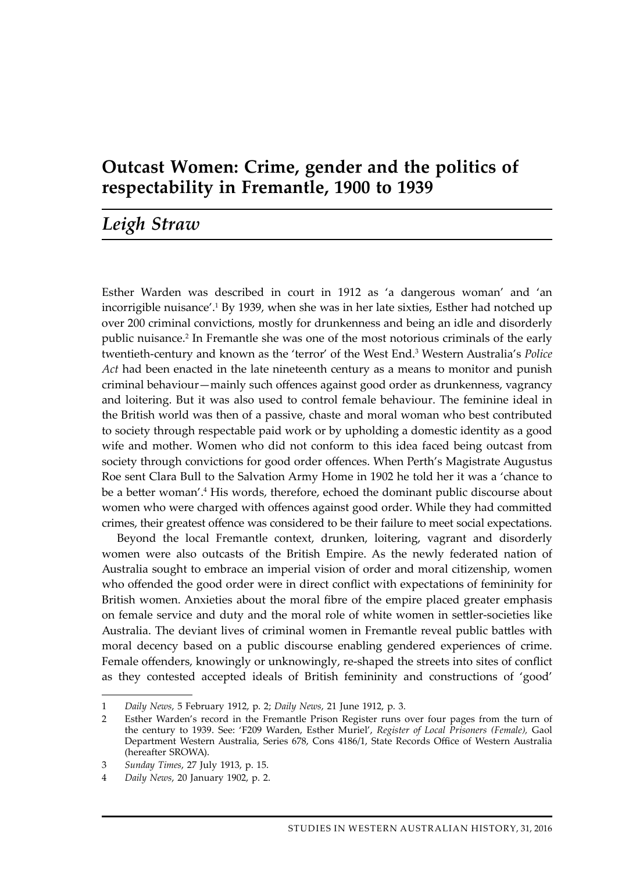## **Outcast Women: Crime, gender and the politics of respectability in Fremantle, 1900 to 1939**

### *Leigh Straw*

Esther Warden was described in court in 1912 as 'a dangerous woman' and 'an incorrigible nuisance'.<sup>1</sup> By 1939, when she was in her late sixties, Esther had notched up over 200 criminal convictions, mostly for drunkenness and being an idle and disorderly public nuisance.2 In Fremantle she was one of the most notorious criminals of the early twentieth-century and known as the 'terror' of the West End.<sup>3</sup> Western Australia's *Police Act* had been enacted in the late nineteenth century as a means to monitor and punish criminal behaviour—mainly such offences against good order as drunkenness, vagrancy and loitering. But it was also used to control female behaviour. The feminine ideal in the British world was then of a passive, chaste and moral woman who best contributed to society through respectable paid work or by upholding a domestic identity as a good wife and mother. Women who did not conform to this idea faced being outcast from society through convictions for good order offences. When Perth's Magistrate Augustus Roe sent Clara Bull to the Salvation Army Home in 1902 he told her it was a 'chance to be a better woman'.<sup>4</sup> His words, therefore, echoed the dominant public discourse about women who were charged with offences against good order. While they had committed crimes, their greatest offence was considered to be their failure to meet social expectations.

Beyond the local Fremantle context, drunken, loitering, vagrant and disorderly women were also outcasts of the British Empire. As the newly federated nation of Australia sought to embrace an imperial vision of order and moral citizenship, women who offended the good order were in direct conflict with expectations of femininity for British women. Anxieties about the moral fibre of the empire placed greater emphasis on female service and duty and the moral role of white women in settler-societies like Australia. The deviant lives of criminal women in Fremantle reveal public battles with moral decency based on a public discourse enabling gendered experiences of crime. Female offenders, knowingly or unknowingly, re-shaped the streets into sites of conflict as they contested accepted ideals of British femininity and constructions of 'good'

<sup>1</sup> *Daily News*, 5 February 1912, p. 2; *Daily News*, 21 June 1912, p. 3.

<sup>2</sup> Esther Warden's record in the Fremantle Prison Register runs over four pages from the turn of the century to 1939. See: 'F209 Warden, Esther Muriel', *Register of Local Prisoners (Female),* Gaol Department Western Australia, Series 678, Cons 4186/1, State Records Office of Western Australia (hereafter SROWA).

<sup>3</sup> *Sunday Times*, 27 July 1913, p. 15.

<sup>4</sup> *Daily News*, 20 January 1902, p. 2.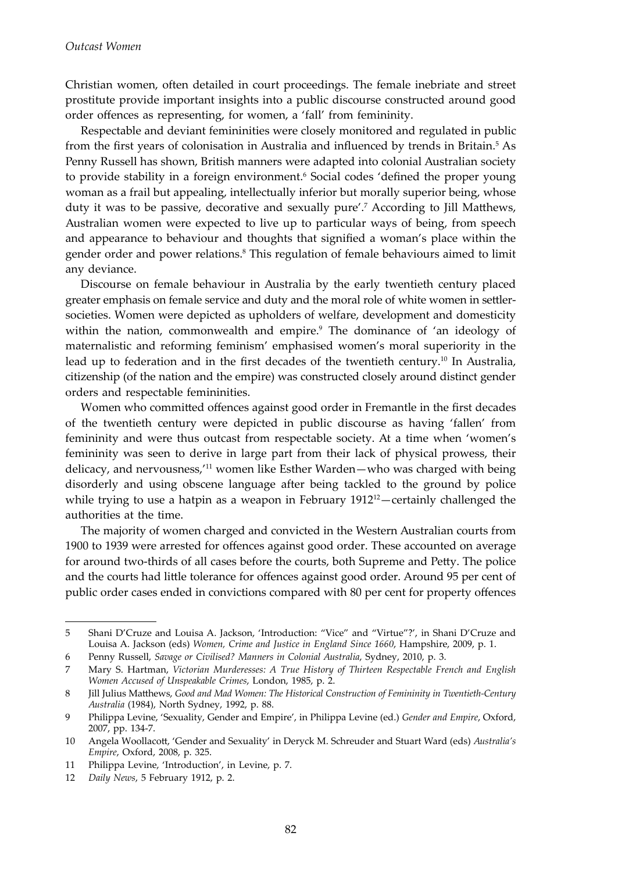Christian women, often detailed in court proceedings. The female inebriate and street prostitute provide important insights into a public discourse constructed around good order offences as representing, for women, a 'fall' from femininity.

Respectable and deviant femininities were closely monitored and regulated in public from the first years of colonisation in Australia and influenced by trends in Britain.<sup>5</sup> As Penny Russell has shown, British manners were adapted into colonial Australian society to provide stability in a foreign environment.<sup>6</sup> Social codes 'defined the proper young woman as a frail but appealing, intellectually inferior but morally superior being, whose duty it was to be passive, decorative and sexually pure'.<sup>7</sup> According to Jill Matthews, Australian women were expected to live up to particular ways of being, from speech and appearance to behaviour and thoughts that signified a woman's place within the gender order and power relations.8 This regulation of female behaviours aimed to limit any deviance.

Discourse on female behaviour in Australia by the early twentieth century placed greater emphasis on female service and duty and the moral role of white women in settlersocieties. Women were depicted as upholders of welfare, development and domesticity within the nation, commonwealth and empire.<sup>9</sup> The dominance of 'an ideology of maternalistic and reforming feminism' emphasised women's moral superiority in the lead up to federation and in the first decades of the twentieth century.<sup>10</sup> In Australia, citizenship (of the nation and the empire) was constructed closely around distinct gender orders and respectable femininities.

Women who committed offences against good order in Fremantle in the first decades of the twentieth century were depicted in public discourse as having 'fallen' from femininity and were thus outcast from respectable society. At a time when 'women's femininity was seen to derive in large part from their lack of physical prowess, their delicacy, and nervousness,'11 women like Esther Warden—who was charged with being disorderly and using obscene language after being tackled to the ground by police while trying to use a hatpin as a weapon in February  $1912^{12}$ —certainly challenged the authorities at the time.

The majority of women charged and convicted in the Western Australian courts from 1900 to 1939 were arrested for offences against good order. These accounted on average for around two-thirds of all cases before the courts, both Supreme and Petty. The police and the courts had little tolerance for offences against good order. Around 95 per cent of public order cases ended in convictions compared with 80 per cent for property offences

<sup>5</sup> Shani D'Cruze and Louisa A. Jackson, 'Introduction: "Vice" and "Virtue"?', in Shani D'Cruze and Louisa A. Jackson (eds) *Women, Crime and Justice in England Since 1660*, Hampshire, 2009, p. 1.

<sup>6</sup> Penny Russell, *Savage or Civilised? Manners in Colonial Australia*, Sydney, 2010, p. 3.

<sup>7</sup> Mary S. Hartman, *Victorian Murderesses: A True History of Thirteen Respectable French and English Women Accused of Unspeakable Crimes*, London, 1985, p. 2.

<sup>8</sup> Jill Julius Matthews, *Good and Mad Women: The Historical Construction of Femininity in Twentieth-Century Australia* (1984), North Sydney, 1992, p. 88.

<sup>9</sup> Philippa Levine, 'Sexuality, Gender and Empire', in Philippa Levine (ed.) *Gender and Empire*, Oxford, 2007, pp. 134-7.

<sup>10</sup> Angela Woollacott, 'Gender and Sexuality' in Deryck M. Schreuder and Stuart Ward (eds) *Australia's Empire*, Oxford, 2008, p. 325.

<sup>11</sup> Philippa Levine, 'Introduction', in Levine, p. 7.

<sup>12</sup> *Daily News*, 5 February 1912, p. 2.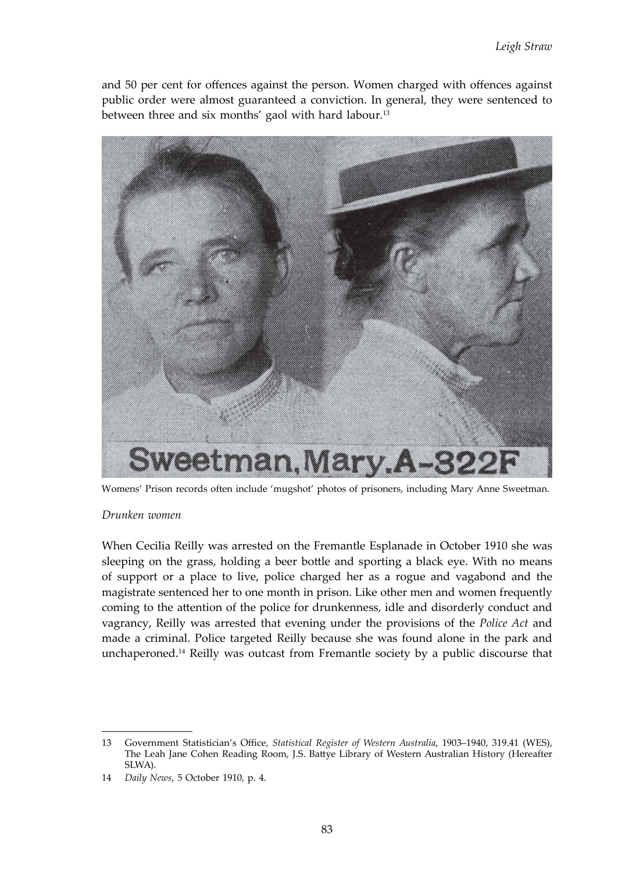and 50 per cent for offences against the person. Women charged with offences against public order were almost guaranteed a conviction. In general, they were sentenced to between three and six months' gaol with hard labour.<sup>13</sup>



Womens' Prison records often include 'mugshot' photos of prisoners, including Mary Anne Sweetman.

#### *Drunken women*

When Cecilia Reilly was arrested on the Fremantle Esplanade in October 1910 she was sleeping on the grass, holding a beer bottle and sporting a black eye. With no means of support or a place to live, police charged her as a rogue and vagabond and the magistrate sentenced her to one month in prison. Like other men and women frequently coming to the attention of the police for drunkenness, idle and disorderly conduct and vagrancy, Reilly was arrested that evening under the provisions of the *Police Act* and made a criminal. Police targeted Reilly because she was found alone in the park and unchaperoned.14 Reilly was outcast from Fremantle society by a public discourse that

<sup>13</sup> Government Statistician's Office, *Statistical Register of Western Australia*, 1903–1940, 319.41 (WES), The Leah Jane Cohen Reading Room, J.S. Battye Library of Western Australian History (Hereafter SLWA).

<sup>14</sup> *Daily News*, 5 October 1910, p. 4.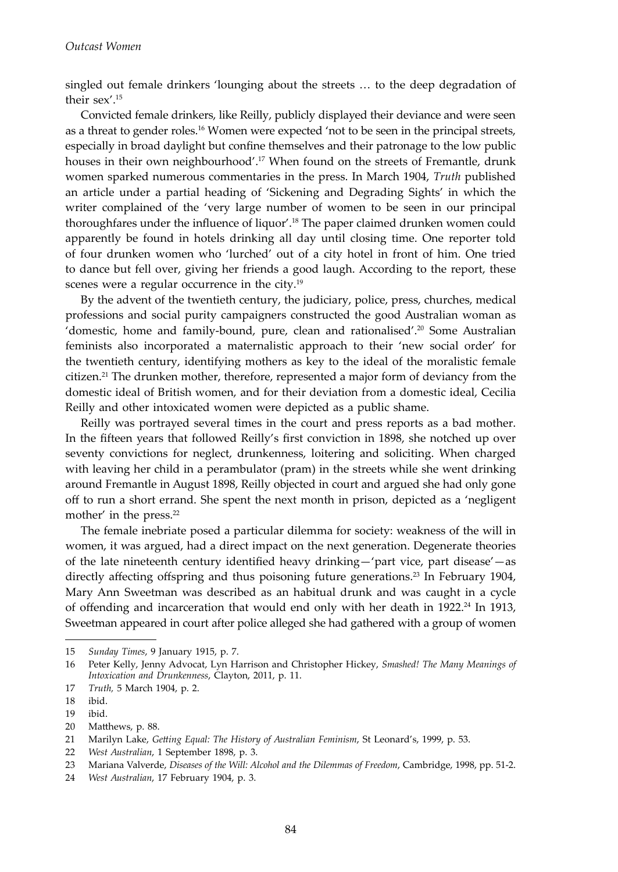singled out female drinkers 'lounging about the streets … to the deep degradation of their sex'.15

Convicted female drinkers, like Reilly, publicly displayed their deviance and were seen as a threat to gender roles.<sup>16</sup> Women were expected 'not to be seen in the principal streets, especially in broad daylight but confine themselves and their patronage to the low public houses in their own neighbourhood'.17 When found on the streets of Fremantle, drunk women sparked numerous commentaries in the press. In March 1904, *Truth* published an article under a partial heading of 'Sickening and Degrading Sights' in which the writer complained of the 'very large number of women to be seen in our principal thoroughfares under the influence of liquor'.18 The paper claimed drunken women could apparently be found in hotels drinking all day until closing time. One reporter told of four drunken women who 'lurched' out of a city hotel in front of him. One tried to dance but fell over, giving her friends a good laugh. According to the report, these scenes were a regular occurrence in the city.<sup>19</sup>

By the advent of the twentieth century, the judiciary, police, press, churches, medical professions and social purity campaigners constructed the good Australian woman as 'domestic, home and family-bound, pure, clean and rationalised'.<sup>20</sup> Some Australian feminists also incorporated a maternalistic approach to their 'new social order' for the twentieth century, identifying mothers as key to the ideal of the moralistic female citizen.<sup>21</sup> The drunken mother, therefore, represented a major form of deviancy from the domestic ideal of British women, and for their deviation from a domestic ideal, Cecilia Reilly and other intoxicated women were depicted as a public shame.

Reilly was portrayed several times in the court and press reports as a bad mother. In the fifteen years that followed Reilly's first conviction in 1898, she notched up over seventy convictions for neglect, drunkenness, loitering and soliciting. When charged with leaving her child in a perambulator (pram) in the streets while she went drinking around Fremantle in August 1898, Reilly objected in court and argued she had only gone off to run a short errand. She spent the next month in prison, depicted as a 'negligent mother' in the press.<sup>22</sup>

The female inebriate posed a particular dilemma for society: weakness of the will in women, it was argued, had a direct impact on the next generation. Degenerate theories of the late nineteenth century identified heavy drinking—'part vice, part disease'—as directly affecting offspring and thus poisoning future generations.<sup>23</sup> In February 1904, Mary Ann Sweetman was described as an habitual drunk and was caught in a cycle of offending and incarceration that would end only with her death in 1922.24 In 1913, Sweetman appeared in court after police alleged she had gathered with a group of women

<sup>15</sup> *Sunday Times*, 9 January 1915, p. 7.

<sup>16</sup> Peter Kelly, Jenny Advocat, Lyn Harrison and Christopher Hickey, *Smashed! The Many Meanings of Intoxication and Drunkenness*, Clayton, 2011, p. 11.

<sup>17</sup> *Truth,* 5 March 1904, p. 2.

<sup>18</sup> ibid.

<sup>19</sup> ibid.

<sup>20</sup> Matthews, p. 88.

<sup>21</sup> Marilyn Lake, *Getting Equal: The History of Australian Feminism*, St Leonard's, 1999, p. 53.

<sup>22</sup> *West Australian*, 1 September 1898, p. 3.

<sup>23</sup> Mariana Valverde, *Diseases of the Will: Alcohol and the Dilemmas of Freedom*, Cambridge, 1998, pp. 51-2.

<sup>24</sup> *West Australian*, 17 February 1904, p. 3.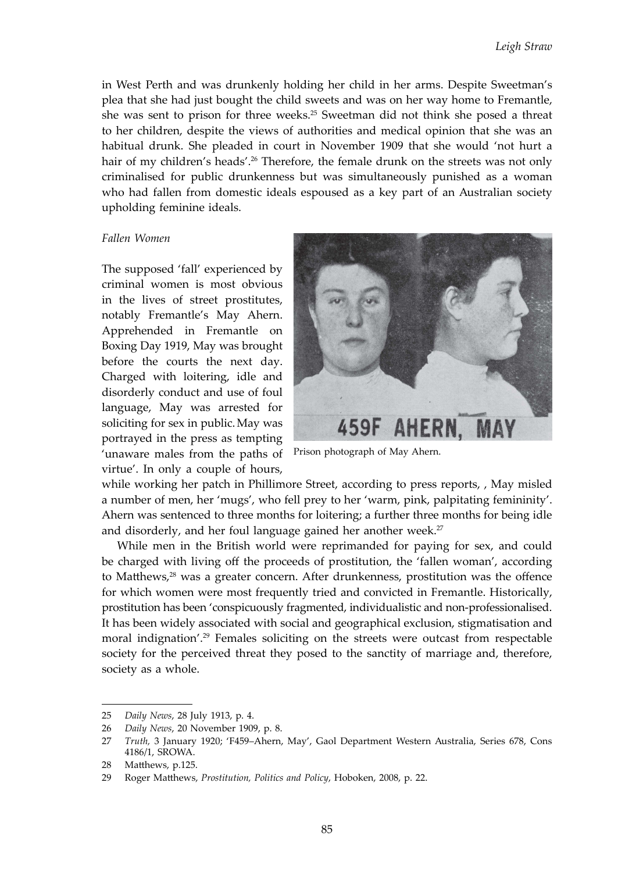in West Perth and was drunkenly holding her child in her arms. Despite Sweetman's plea that she had just bought the child sweets and was on her way home to Fremantle, she was sent to prison for three weeks.25 Sweetman did not think she posed a threat to her children, despite the views of authorities and medical opinion that she was an habitual drunk. She pleaded in court in November 1909 that she would 'not hurt a hair of my children's heads'.<sup>26</sup> Therefore, the female drunk on the streets was not only criminalised for public drunkenness but was simultaneously punished as a woman who had fallen from domestic ideals espoused as a key part of an Australian society upholding feminine ideals.

#### *Fallen Women*

The supposed 'fall' experienced by criminal women is most obvious in the lives of street prostitutes, notably Fremantle's May Ahern. Apprehended in Fremantle on Boxing Day 1919, May was brought before the courts the next day. Charged with loitering, idle and disorderly conduct and use of foul language, May was arrested for soliciting for sex in public.May was portrayed in the press as tempting 'unaware males from the paths of virtue'. In only a couple of hours,



Prison photograph of May Ahern.

while working her patch in Phillimore Street, according to press reports, , May misled a number of men, her 'mugs', who fell prey to her 'warm, pink, palpitating femininity'. Ahern was sentenced to three months for loitering; a further three months for being idle and disorderly, and her foul language gained her another week.<sup>27</sup>

While men in the British world were reprimanded for paying for sex, and could be charged with living off the proceeds of prostitution, the 'fallen woman', according to Matthews,<sup>28</sup> was a greater concern. After drunkenness, prostitution was the offence for which women were most frequently tried and convicted in Fremantle. Historically, prostitution has been 'conspicuously fragmented, individualistic and non-professionalised. It has been widely associated with social and geographical exclusion, stigmatisation and moral indignation'.<sup>29</sup> Females soliciting on the streets were outcast from respectable society for the perceived threat they posed to the sanctity of marriage and, therefore, society as a whole.

<sup>25</sup> *Daily News*, 28 July 1913, p. 4.

<sup>26</sup> *Daily News*, 20 November 1909, p. 8.

<sup>27</sup> *Truth,* 3 January 1920; 'F459–Ahern, May', Gaol Department Western Australia, Series 678, Cons 4186/1, SROWA.

<sup>28</sup> Matthews, p.125.

<sup>29</sup> Roger Matthews, *Prostitution, Politics and Policy*, Hoboken, 2008, p. 22.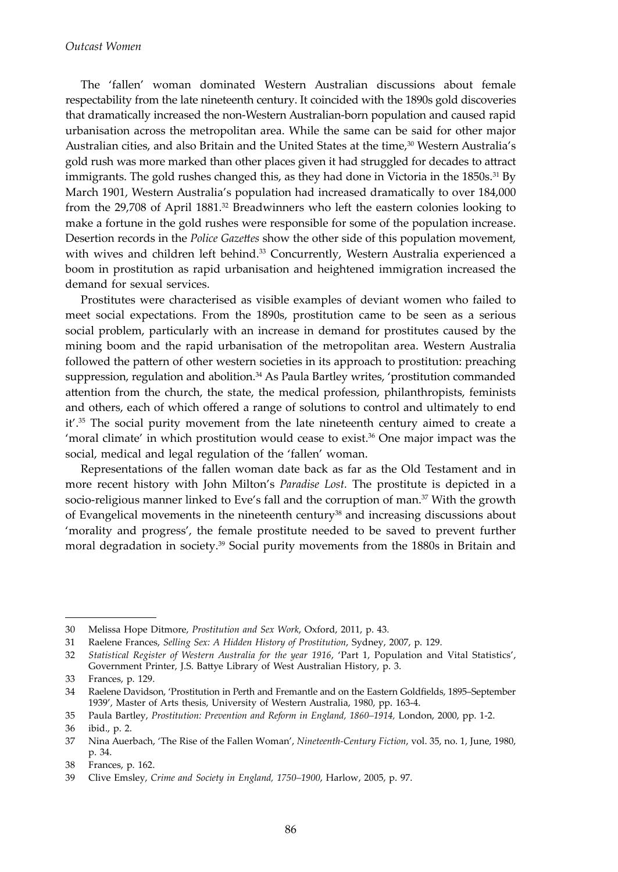The 'fallen' woman dominated Western Australian discussions about female respectability from the late nineteenth century. It coincided with the 1890s gold discoveries that dramatically increased the non-Western Australian-born population and caused rapid urbanisation across the metropolitan area. While the same can be said for other major Australian cities, and also Britain and the United States at the time,<sup>30</sup> Western Australia's gold rush was more marked than other places given it had struggled for decades to attract immigrants. The gold rushes changed this, as they had done in Victoria in the  $1850s.^{31}$  By March 1901, Western Australia's population had increased dramatically to over 184,000 from the  $29,708$  of April  $1881<sup>32</sup>$  Breadwinners who left the eastern colonies looking to make a fortune in the gold rushes were responsible for some of the population increase. Desertion records in the *Police Gazettes* show the other side of this population movement, with wives and children left behind.<sup>33</sup> Concurrently, Western Australia experienced a boom in prostitution as rapid urbanisation and heightened immigration increased the demand for sexual services.

Prostitutes were characterised as visible examples of deviant women who failed to meet social expectations. From the 1890s, prostitution came to be seen as a serious social problem, particularly with an increase in demand for prostitutes caused by the mining boom and the rapid urbanisation of the metropolitan area. Western Australia followed the pattern of other western societies in its approach to prostitution: preaching suppression, regulation and abolition.<sup>34</sup> As Paula Bartley writes, 'prostitution commanded attention from the church, the state, the medical profession, philanthropists, feminists and others, each of which offered a range of solutions to control and ultimately to end  $it'$ <sup>35</sup>. The social purity movement from the late nineteenth century aimed to create a 'moral climate' in which prostitution would cease to exist.<sup>36</sup> One major impact was the social, medical and legal regulation of the 'fallen' woman.

Representations of the fallen woman date back as far as the Old Testament and in more recent history with John Milton's *Paradise Lost.* The prostitute is depicted in a socio-religious manner linked to Eve's fall and the corruption of man.<sup>37</sup> With the growth of Evangelical movements in the nineteenth century<sup>38</sup> and increasing discussions about 'morality and progress', the female prostitute needed to be saved to prevent further moral degradation in society.<sup>39</sup> Social purity movements from the 1880s in Britain and

<sup>30</sup> Melissa Hope Ditmore, *Prostitution and Sex Work*, Oxford, 2011, p. 43.

<sup>31</sup> Raelene Frances, *Selling Sex: A Hidden History of Prostitution*, Sydney, 2007, p. 129.

<sup>32</sup> *Statistical Register of Western Australia for the year 1916*, 'Part 1, Population and Vital Statistics', Government Printer, J.S. Battye Library of West Australian History, p. 3.

<sup>33</sup> Frances, p. 129.

<sup>34</sup> Raelene Davidson, 'Prostitution in Perth and Fremantle and on the Eastern Goldfields, 1895–September 1939', Master of Arts thesis, University of Western Australia, 1980, pp. 163-4.

<sup>35</sup> Paula Bartley, *Prostitution: Prevention and Reform in England, 1860–1914,* London, 2000, pp. 1-2.

<sup>36</sup> ibid., p. 2.

<sup>37</sup> Nina Auerbach, 'The Rise of the Fallen Woman', *Nineteenth-Century Fiction*, vol. 35, no. 1, June, 1980, p. 34.

<sup>38</sup> Frances, p. 162.

<sup>39</sup> Clive Emsley, *Crime and Society in England, 1750–1900*, Harlow, 2005, p. 97.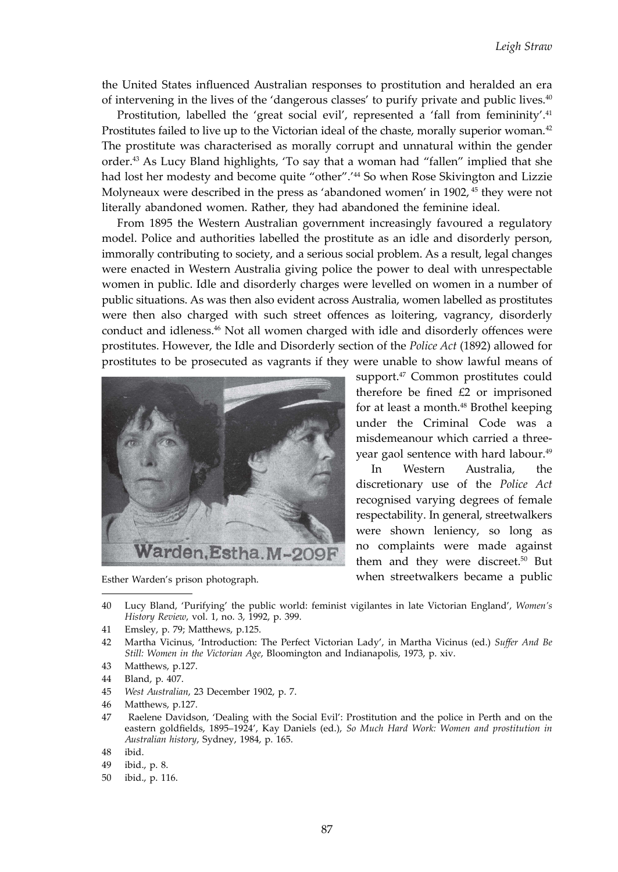the United States influenced Australian responses to prostitution and heralded an era of intervening in the lives of the 'dangerous classes' to purify private and public lives.40

Prostitution, labelled the 'great social evil', represented a 'fall from femininity'.<sup>41</sup> Prostitutes failed to live up to the Victorian ideal of the chaste, morally superior woman.<sup>42</sup> The prostitute was characterised as morally corrupt and unnatural within the gender order.43 As Lucy Bland highlights, 'To say that a woman had "fallen" implied that she had lost her modesty and become quite "other".'<sup>44</sup> So when Rose Skivington and Lizzie Molyneaux were described in the press as 'abandoned women' in 1902, 45 they were not literally abandoned women. Rather, they had abandoned the feminine ideal.

From 1895 the Western Australian government increasingly favoured a regulatory model. Police and authorities labelled the prostitute as an idle and disorderly person, immorally contributing to society, and a serious social problem. As a result, legal changes were enacted in Western Australia giving police the power to deal with unrespectable women in public. Idle and disorderly charges were levelled on women in a number of public situations. As was then also evident across Australia, women labelled as prostitutes were then also charged with such street offences as loitering, vagrancy, disorderly conduct and idleness.<sup>46</sup> Not all women charged with idle and disorderly offences were prostitutes. However, the Idle and Disorderly section of the *Police Act* (1892) allowed for prostitutes to be prosecuted as vagrants if they were unable to show lawful means of



Esther Warden's prison photograph.

support.<sup>47</sup> Common prostitutes could therefore be fined £2 or imprisoned for at least a month.<sup>48</sup> Brothel keeping under the Criminal Code was a misdemeanour which carried a threeyear gaol sentence with hard labour.49

In Western Australia, the discretionary use of the *Police Act*  recognised varying degrees of female respectability. In general, streetwalkers were shown leniency, so long as no complaints were made against them and they were discreet.<sup>50</sup> But when streetwalkers became a public

40 Lucy Bland, 'Purifying' the public world: feminist vigilantes in late Victorian England', *Women's History Review*, vol. 1, no. 3, 1992, p. 399.

- 42 Martha Vicinus, 'Introduction: The Perfect Victorian Lady', in Martha Vicinus (ed.) *Suffer And Be Still: Women in the Victorian Age*, Bloomington and Indianapolis, 1973, p. xiv.
- 43 Matthews, p.127.
- 44 Bland, p. 407.
- 45 *West Australian*, 23 December 1902, p. 7.
- 46 Matthews, p.127.
- 47 Raelene Davidson, 'Dealing with the Social Evil': Prostitution and the police in Perth and on the eastern goldfields, 1895–1924', Kay Daniels (ed.), *So Much Hard Work: Women and prostitution in Australian history*, Sydney, 1984, p. 165.
- 48 ibid.
- 49 ibid., p. 8.
- 50 ibid., p. 116.

<sup>41</sup> Emsley, p. 79; Matthews, p.125.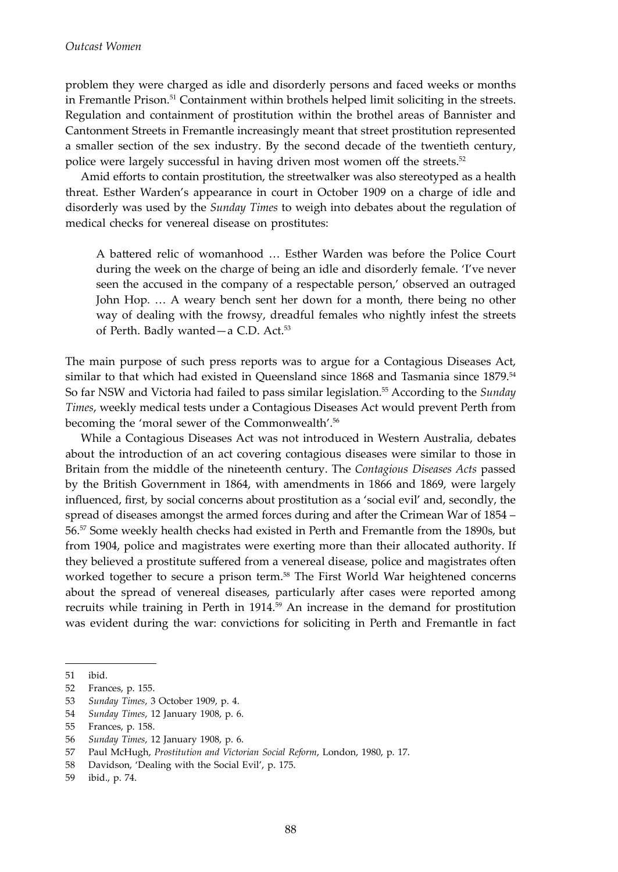problem they were charged as idle and disorderly persons and faced weeks or months in Fremantle Prison.51 Containment within brothels helped limit soliciting in the streets. Regulation and containment of prostitution within the brothel areas of Bannister and Cantonment Streets in Fremantle increasingly meant that street prostitution represented a smaller section of the sex industry. By the second decade of the twentieth century, police were largely successful in having driven most women off the streets.<sup>52</sup>

Amid efforts to contain prostitution, the streetwalker was also stereotyped as a health threat. Esther Warden's appearance in court in October 1909 on a charge of idle and disorderly was used by the *Sunday Times* to weigh into debates about the regulation of medical checks for venereal disease on prostitutes:

A battered relic of womanhood … Esther Warden was before the Police Court during the week on the charge of being an idle and disorderly female. 'I've never seen the accused in the company of a respectable person,' observed an outraged John Hop. … A weary bench sent her down for a month, there being no other way of dealing with the frowsy, dreadful females who nightly infest the streets of Perth. Badly wanted—a C.D. Act.<sup>53</sup>

The main purpose of such press reports was to argue for a Contagious Diseases Act, similar to that which had existed in Queensland since 1868 and Tasmania since 1879.<sup>54</sup> So far NSW and Victoria had failed to pass similar legislation.55 According to the *Sunday Times*, weekly medical tests under a Contagious Diseases Act would prevent Perth from becoming the 'moral sewer of the Commonwealth'.<sup>56</sup>

While a Contagious Diseases Act was not introduced in Western Australia, debates about the introduction of an act covering contagious diseases were similar to those in Britain from the middle of the nineteenth century. The *Contagious Diseases Acts* passed by the British Government in 1864, with amendments in 1866 and 1869, were largely influenced, first, by social concerns about prostitution as a 'social evil' and, secondly, the spread of diseases amongst the armed forces during and after the Crimean War of 1854 – 56.57 Some weekly health checks had existed in Perth and Fremantle from the 1890s, but from 1904, police and magistrates were exerting more than their allocated authority. If they believed a prostitute suffered from a venereal disease, police and magistrates often worked together to secure a prison term.<sup>58</sup> The First World War heightened concerns about the spread of venereal diseases, particularly after cases were reported among recruits while training in Perth in  $1914.^{59}$  An increase in the demand for prostitution was evident during the war: convictions for soliciting in Perth and Fremantle in fact

<sup>51</sup> ibid.

<sup>52</sup> Frances, p. 155.

<sup>53</sup> *Sunday Times*, 3 October 1909, p. 4.

<sup>54</sup> *Sunday Times*, 12 January 1908, p. 6.

<sup>55</sup> Frances, p. 158.

<sup>56</sup> *Sunday Times*, 12 January 1908, p. 6.

<sup>57</sup> Paul McHugh, *Prostitution and Victorian Social Reform*, London, 1980, p. 17.

<sup>58</sup> Davidson, 'Dealing with the Social Evil', p. 175.

<sup>59</sup> ibid., p. 74.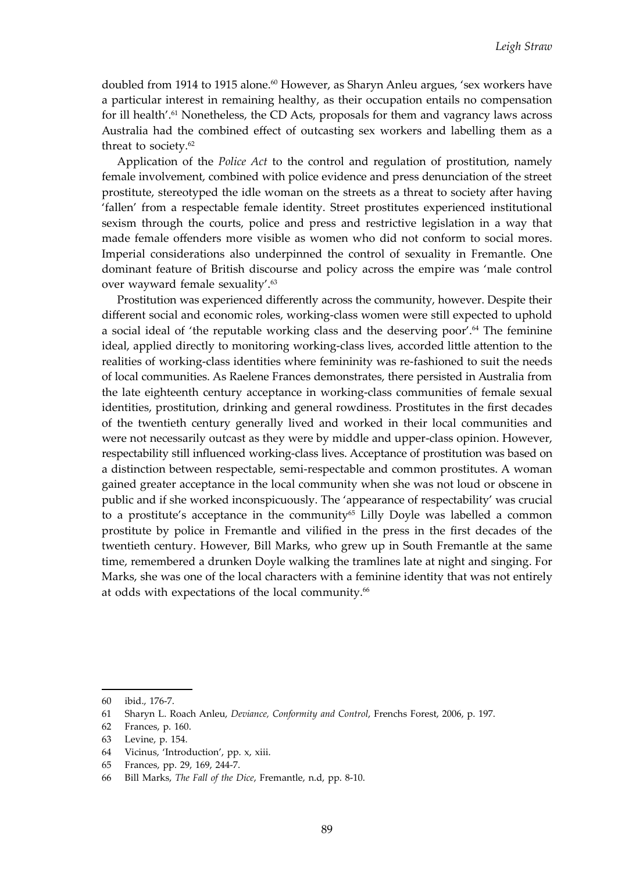doubled from 1914 to 1915 alone.<sup>60</sup> However, as Sharyn Anleu argues, 'sex workers have a particular interest in remaining healthy, as their occupation entails no compensation for ill health'.<sup>61</sup> Nonetheless, the CD Acts, proposals for them and vagrancy laws across Australia had the combined effect of outcasting sex workers and labelling them as a threat to society.<sup>62</sup>

Application of the *Police Act* to the control and regulation of prostitution, namely female involvement, combined with police evidence and press denunciation of the street prostitute, stereotyped the idle woman on the streets as a threat to society after having 'fallen' from a respectable female identity. Street prostitutes experienced institutional sexism through the courts, police and press and restrictive legislation in a way that made female offenders more visible as women who did not conform to social mores. Imperial considerations also underpinned the control of sexuality in Fremantle. One dominant feature of British discourse and policy across the empire was 'male control over wayward female sexuality'.<sup>63</sup>

Prostitution was experienced differently across the community, however. Despite their different social and economic roles, working-class women were still expected to uphold a social ideal of 'the reputable working class and the deserving poor'.64 The feminine ideal, applied directly to monitoring working-class lives, accorded little attention to the realities of working-class identities where femininity was re-fashioned to suit the needs of local communities. As Raelene Frances demonstrates, there persisted in Australia from the late eighteenth century acceptance in working-class communities of female sexual identities, prostitution, drinking and general rowdiness. Prostitutes in the first decades of the twentieth century generally lived and worked in their local communities and were not necessarily outcast as they were by middle and upper-class opinion. However, respectability still influenced working-class lives. Acceptance of prostitution was based on a distinction between respectable, semi-respectable and common prostitutes. A woman gained greater acceptance in the local community when she was not loud or obscene in public and if she worked inconspicuously. The 'appearance of respectability' was crucial to a prostitute's acceptance in the community<sup>65</sup> Lilly Doyle was labelled a common prostitute by police in Fremantle and vilified in the press in the first decades of the twentieth century. However, Bill Marks, who grew up in South Fremantle at the same time, remembered a drunken Doyle walking the tramlines late at night and singing. For Marks, she was one of the local characters with a feminine identity that was not entirely at odds with expectations of the local community.<sup>66</sup>

<sup>60</sup> ibid., 176-7.

<sup>61</sup> Sharyn L. Roach Anleu, *Deviance, Conformity and Control*, Frenchs Forest, 2006, p. 197.

<sup>62</sup> Frances, p. 160.

<sup>63</sup> Levine, p. 154.

<sup>64</sup> Vicinus, 'Introduction', pp. x, xiii.

<sup>65</sup> Frances, pp. 29, 169, 244-7.

<sup>66</sup> Bill Marks, *The Fall of the Dice*, Fremantle, n.d, pp. 8-10.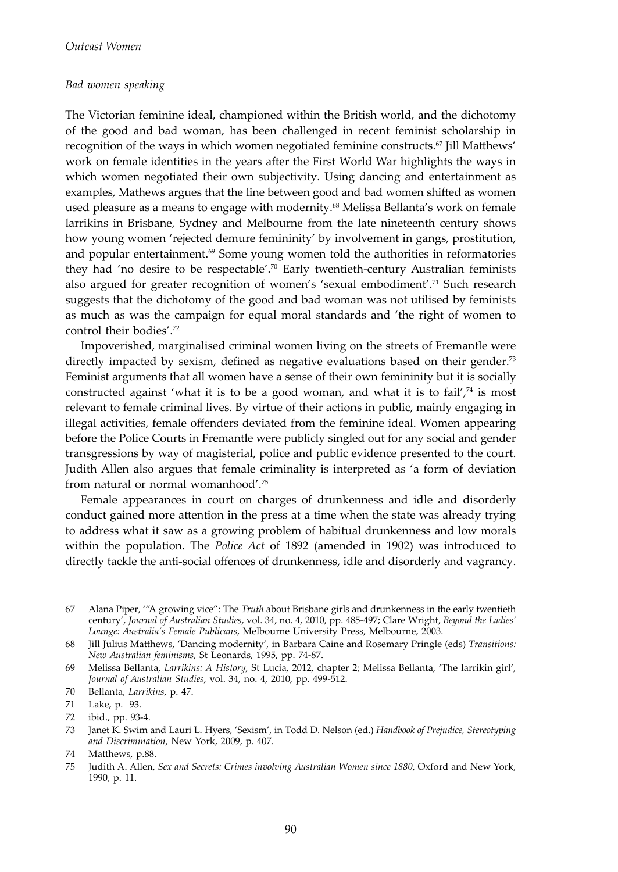#### *Bad women speaking*

The Victorian feminine ideal, championed within the British world, and the dichotomy of the good and bad woman, has been challenged in recent feminist scholarship in recognition of the ways in which women negotiated feminine constructs.<sup>67</sup> Jill Matthews' work on female identities in the years after the First World War highlights the ways in which women negotiated their own subjectivity. Using dancing and entertainment as examples, Mathews argues that the line between good and bad women shifted as women used pleasure as a means to engage with modernity.<sup>68</sup> Melissa Bellanta's work on female larrikins in Brisbane, Sydney and Melbourne from the late nineteenth century shows how young women 'rejected demure femininity' by involvement in gangs, prostitution, and popular entertainment. $69$  Some young women told the authorities in reformatories they had 'no desire to be respectable'.<sup>70</sup> Early twentieth-century Australian feminists also argued for greater recognition of women's 'sexual embodiment'.71 Such research suggests that the dichotomy of the good and bad woman was not utilised by feminists as much as was the campaign for equal moral standards and 'the right of women to control their bodies'.72

Impoverished, marginalised criminal women living on the streets of Fremantle were directly impacted by sexism, defined as negative evaluations based on their gender.<sup>73</sup> Feminist arguments that all women have a sense of their own femininity but it is socially constructed against 'what it is to be a good woman, and what it is to fail', $74$  is most relevant to female criminal lives. By virtue of their actions in public, mainly engaging in illegal activities, female offenders deviated from the feminine ideal. Women appearing before the Police Courts in Fremantle were publicly singled out for any social and gender transgressions by way of magisterial, police and public evidence presented to the court. Judith Allen also argues that female criminality is interpreted as 'a form of deviation from natural or normal womanhood'.75

Female appearances in court on charges of drunkenness and idle and disorderly conduct gained more attention in the press at a time when the state was already trying to address what it saw as a growing problem of habitual drunkenness and low morals within the population. The *Police Act* of 1892 (amended in 1902) was introduced to directly tackle the anti-social offences of drunkenness, idle and disorderly and vagrancy.

<sup>67</sup> Alana Piper, '"A growing vice": The *Truth* about Brisbane girls and drunkenness in the early twentieth century', *Journal of Australian Studies*, vol. 34, no. 4, 2010, pp. 485-497; Clare Wright, *Beyond the Ladies' Lounge: Australia's Female Publicans*, Melbourne University Press, Melbourne, 2003.

<sup>68</sup> Jill Julius Matthews, 'Dancing modernity', in Barbara Caine and Rosemary Pringle (eds) *Transitions: New Australian feminisms*, St Leonards, 1995, pp. 74-87.

<sup>69</sup> Melissa Bellanta, *Larrikins: A History*, St Lucia, 2012, chapter 2; Melissa Bellanta, 'The larrikin girl', *Journal of Australian Studies*, vol. 34, no. 4, 2010, pp. 499-512.

<sup>70</sup> Bellanta, *Larrikins*, p. 47.

<sup>71</sup> Lake, p. 93.

<sup>72</sup> ibid., pp. 93-4.

<sup>73</sup> Janet K. Swim and Lauri L. Hyers, 'Sexism', in Todd D. Nelson (ed.) *Handbook of Prejudice, Stereotyping and Discrimination*, New York, 2009, p. 407.

<sup>74</sup> Matthews, p.88.

<sup>75</sup> Judith A. Allen, *Sex and Secrets: Crimes involving Australian Women since 1880*, Oxford and New York, 1990, p. 11.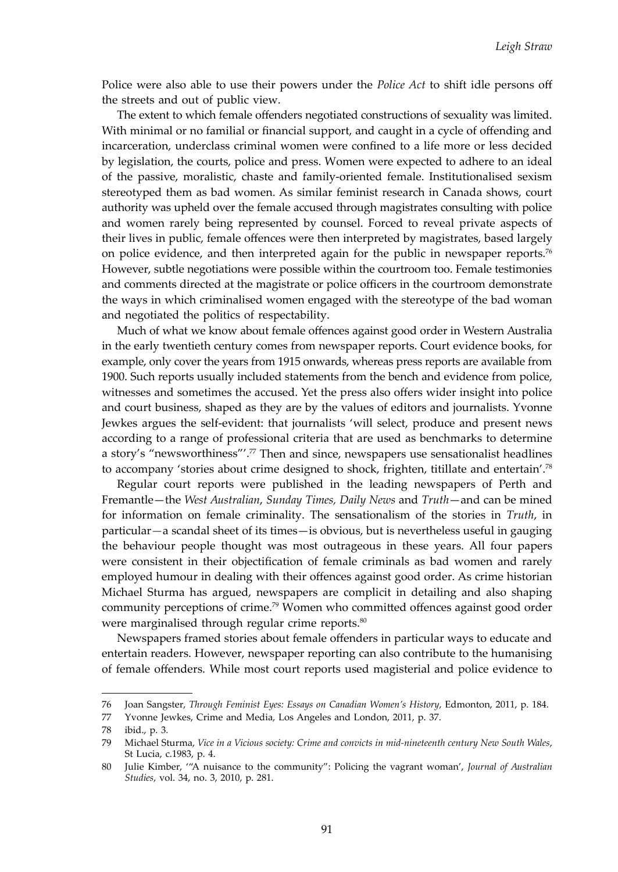Police were also able to use their powers under the *Police Act* to shift idle persons off the streets and out of public view.

The extent to which female offenders negotiated constructions of sexuality was limited. With minimal or no familial or financial support, and caught in a cycle of offending and incarceration, underclass criminal women were confined to a life more or less decided by legislation, the courts, police and press. Women were expected to adhere to an ideal of the passive, moralistic, chaste and family-oriented female. Institutionalised sexism stereotyped them as bad women. As similar feminist research in Canada shows, court authority was upheld over the female accused through magistrates consulting with police and women rarely being represented by counsel. Forced to reveal private aspects of their lives in public, female offences were then interpreted by magistrates, based largely on police evidence, and then interpreted again for the public in newspaper reports.<sup>76</sup> However, subtle negotiations were possible within the courtroom too. Female testimonies and comments directed at the magistrate or police officers in the courtroom demonstrate the ways in which criminalised women engaged with the stereotype of the bad woman and negotiated the politics of respectability.

Much of what we know about female offences against good order in Western Australia in the early twentieth century comes from newspaper reports. Court evidence books, for example, only cover the years from 1915 onwards, whereas press reports are available from 1900. Such reports usually included statements from the bench and evidence from police, witnesses and sometimes the accused. Yet the press also offers wider insight into police and court business, shaped as they are by the values of editors and journalists. Yvonne Jewkes argues the self-evident: that journalists 'will select, produce and present news according to a range of professional criteria that are used as benchmarks to determine a story's "newsworthiness"'.<sup>77</sup> Then and since, newspapers use sensationalist headlines to accompany 'stories about crime designed to shock, frighten, titillate and entertain'.78

Regular court reports were published in the leading newspapers of Perth and Fremantle—the *West Australian*, *Sunday Times, Daily News* and *Truth*—and can be mined for information on female criminality. The sensationalism of the stories in *Truth*, in particular*—*a scandal sheet of its times—is obvious, but is nevertheless useful in gauging the behaviour people thought was most outrageous in these years. All four papers were consistent in their objectification of female criminals as bad women and rarely employed humour in dealing with their offences against good order. As crime historian Michael Sturma has argued, newspapers are complicit in detailing and also shaping community perceptions of crime.79 Women who committed offences against good order were marginalised through regular crime reports.<sup>80</sup>

Newspapers framed stories about female offenders in particular ways to educate and entertain readers. However, newspaper reporting can also contribute to the humanising of female offenders. While most court reports used magisterial and police evidence to

<sup>76</sup> Joan Sangster, *Through Feminist Eyes: Essays on Canadian Women's History*, Edmonton, 2011, p. 184.

<sup>77</sup> Yvonne Jewkes, Crime and Media, Los Angeles and London, 2011, p. 37.

<sup>78</sup> ibid., p. 3.

<sup>79</sup> Michael Sturma, *Vice in a Vicious society: Crime and convicts in mid-nineteenth century New South Wales*, St Lucia, c.1983, p. 4.

<sup>80</sup> Julie Kimber, '"A nuisance to the community": Policing the vagrant woman', *Journal of Australian Studies*, vol. 34, no. 3, 2010, p. 281.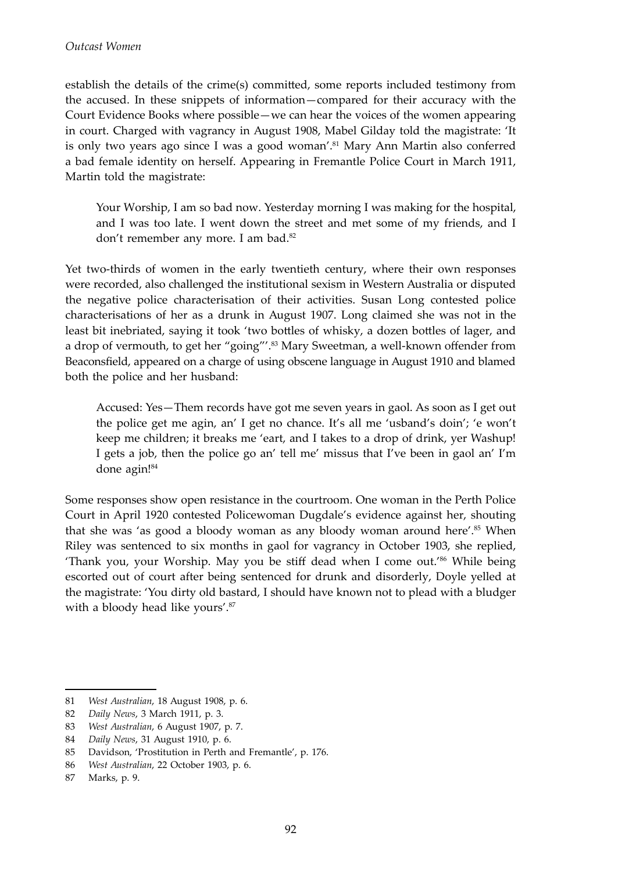establish the details of the crime(s) committed, some reports included testimony from the accused. In these snippets of information—compared for their accuracy with the Court Evidence Books where possible—we can hear the voices of the women appearing in court. Charged with vagrancy in August 1908, Mabel Gilday told the magistrate: 'It is only two years ago since I was a good woman'.<sup>81</sup> Mary Ann Martin also conferred a bad female identity on herself. Appearing in Fremantle Police Court in March 1911, Martin told the magistrate:

Your Worship, I am so bad now. Yesterday morning I was making for the hospital, and I was too late. I went down the street and met some of my friends, and I don't remember any more. I am bad.<sup>82</sup>

Yet two-thirds of women in the early twentieth century, where their own responses were recorded, also challenged the institutional sexism in Western Australia or disputed the negative police characterisation of their activities. Susan Long contested police characterisations of her as a drunk in August 1907. Long claimed she was not in the least bit inebriated, saying it took 'two bottles of whisky, a dozen bottles of lager, and a drop of vermouth, to get her "going"'.<sup>83</sup> Mary Sweetman, a well-known offender from Beaconsfield, appeared on a charge of using obscene language in August 1910 and blamed both the police and her husband:

Accused: Yes—Them records have got me seven years in gaol. As soon as I get out the police get me agin, an' I get no chance. It's all me 'usband's doin'; 'e won't keep me children; it breaks me 'eart, and I takes to a drop of drink, yer Washup! I gets a job, then the police go an' tell me' missus that I've been in gaol an' I'm done agin!84

Some responses show open resistance in the courtroom. One woman in the Perth Police Court in April 1920 contested Policewoman Dugdale's evidence against her, shouting that she was 'as good a bloody woman as any bloody woman around here'.<sup>85</sup> When Riley was sentenced to six months in gaol for vagrancy in October 1903, she replied, 'Thank you, your Worship. May you be stiff dead when I come out.'86 While being escorted out of court after being sentenced for drunk and disorderly, Doyle yelled at the magistrate: 'You dirty old bastard, I should have known not to plead with a bludger with a bloody head like yours'.<sup>87</sup>

<sup>81</sup> *West Australian*, 18 August 1908, p. 6.

<sup>82</sup> *Daily News*, 3 March 1911, p. 3.

<sup>83</sup> *West Australian*, 6 August 1907, p. 7.

<sup>84</sup> *Daily News*, 31 August 1910, p. 6.

<sup>85</sup> Davidson, 'Prostitution in Perth and Fremantle', p. 176.

<sup>86</sup> *West Australian*, 22 October 1903, p. 6.

<sup>87</sup> Marks, p. 9.